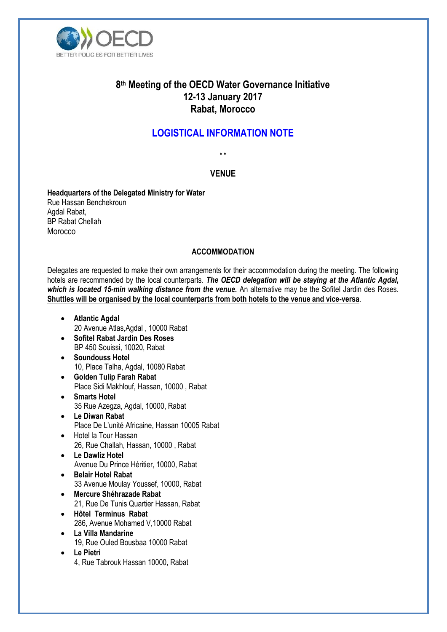

# **8 th Meeting of the OECD Water Governance Initiative 12-13 January 2017 Rabat, Morocco**

# **LOGISTICAL INFORMATION NOTE**

\* \*

# **VENUE**

**Headquarters of the Delegated Ministry for Water** Rue Hassan Benchekroun Agdal Rabat, BP Rabat Chellah **Morocco** 

#### **ACCOMMODATION**

Delegates are requested to make their own arrangements for their accommodation during the meeting. The following hotels are recommended by the local counterparts. *The OECD delegation will be staying at the Atlantic Agdal, which is located 15-min walking distance from the venue.* An alternative may be the Sofitel Jardin des Roses. **Shuttles will be organised by the local counterparts from both hotels to the venue and vice-versa**.

- **Atlantic Agdal** 20 Avenue Atlas,Agdal , 10000 Rabat
- **Sofitel Rabat Jardin Des Roses** BP 450 Souissi, 10020, Rabat
- **Soundouss Hotel** 10, Place Talha, Agdal, 10080 Rabat
- **Golden Tulip Farah Rabat** Place Sidi Makhlouf, Hassan, 10000 , Rabat
- **Smarts Hotel** 35 Rue Azegza, Agdal, 10000, Rabat
- **Le Diwan Rabat** Place De L'unité Africaine, Hassan 10005 Rabat
- Hotel la Tour Hassan 26, Rue Challah, Hassan, 10000 , Rabat
- **Le Dawliz Hotel** Avenue Du Prince Héritier, 10000, Rabat
- **Belair Hotel Rabat** 33 Avenue Moulay Youssef, 10000, Rabat
- **Mercure Shéhrazade Rabat** 21, Rue De Tunis Quartier Hassan, Rabat
- **Hôtel Terminus Rabat** 286, Avenue Mohamed V,10000 Rabat
- **La Villa Mandarine** 19, Rue Ouled Bousbaa 10000 Rabat
- **Le Pietri** 4, Rue Tabrouk Hassan 10000, Rabat